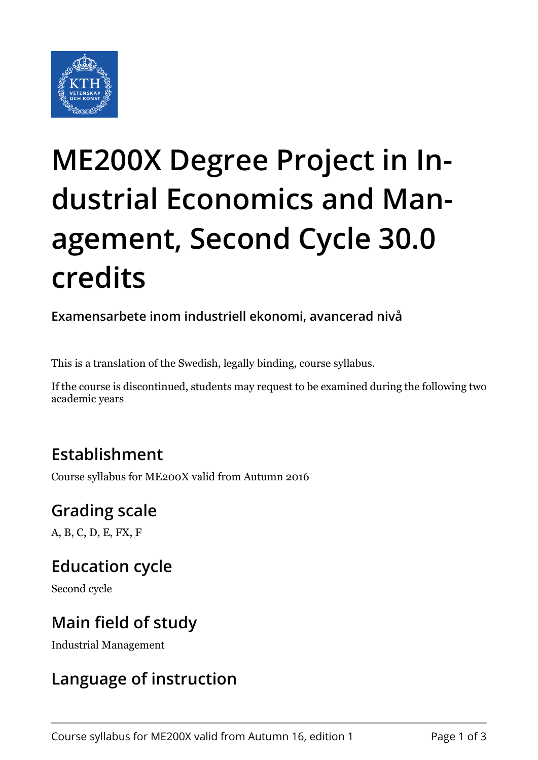

# **ME200X Degree Project in Industrial Economics and Management, Second Cycle 30.0 credits**

**Examensarbete inom industriell ekonomi, avancerad nivå**

This is a translation of the Swedish, legally binding, course syllabus.

If the course is discontinued, students may request to be examined during the following two academic years

## **Establishment**

Course syllabus for ME200X valid from Autumn 2016

# **Grading scale**

A, B, C, D, E, FX, F

## **Education cycle**

Second cycle

## **Main field of study**

Industrial Management

## **Language of instruction**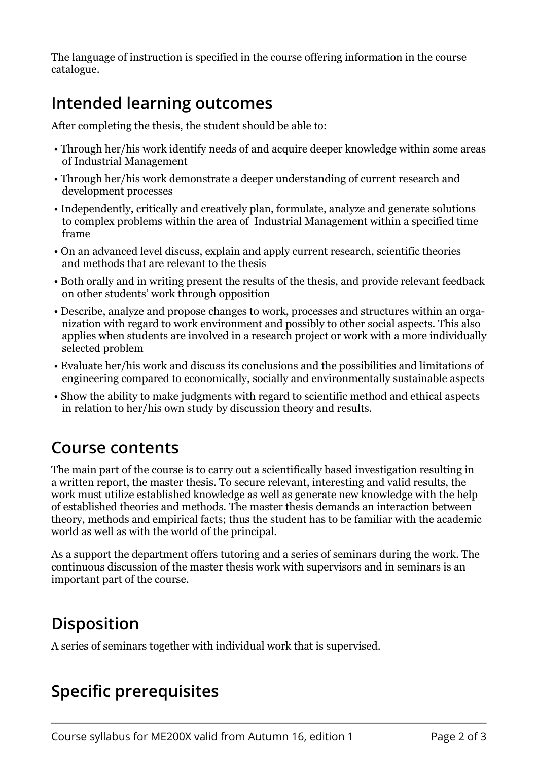The language of instruction is specified in the course offering information in the course catalogue.

## **Intended learning outcomes**

After completing the thesis, the student should be able to:

- Through her/his work identify needs of and acquire deeper knowledge within some areas of Industrial Management
- Through her/his work demonstrate a deeper understanding of current research and development processes
- Independently, critically and creatively plan, formulate, analyze and generate solutions to complex problems within the area of Industrial Management within a specified time frame
- On an advanced level discuss, explain and apply current research, scientific theories and methods that are relevant to the thesis
- Both orally and in writing present the results of the thesis, and provide relevant feedback on other students' work through opposition
- Describe, analyze and propose changes to work, processes and structures within an organization with regard to work environment and possibly to other social aspects. This also applies when students are involved in a research project or work with a more individually selected problem
- Evaluate her/his work and discuss its conclusions and the possibilities and limitations of engineering compared to economically, socially and environmentally sustainable aspects
- Show the ability to make judgments with regard to scientific method and ethical aspects in relation to her/his own study by discussion theory and results.

#### **Course contents**

The main part of the course is to carry out a scientifically based investigation resulting in a written report, the master thesis. To secure relevant, interesting and valid results, the work must utilize established knowledge as well as generate new knowledge with the help of established theories and methods. The master thesis demands an interaction between theory, methods and empirical facts; thus the student has to be familiar with the academic world as well as with the world of the principal.

As a support the department offers tutoring and a series of seminars during the work. The continuous discussion of the master thesis work with supervisors and in seminars is an important part of the course.

#### **Disposition**

A series of seminars together with individual work that is supervised.

# **Specific prerequisites**